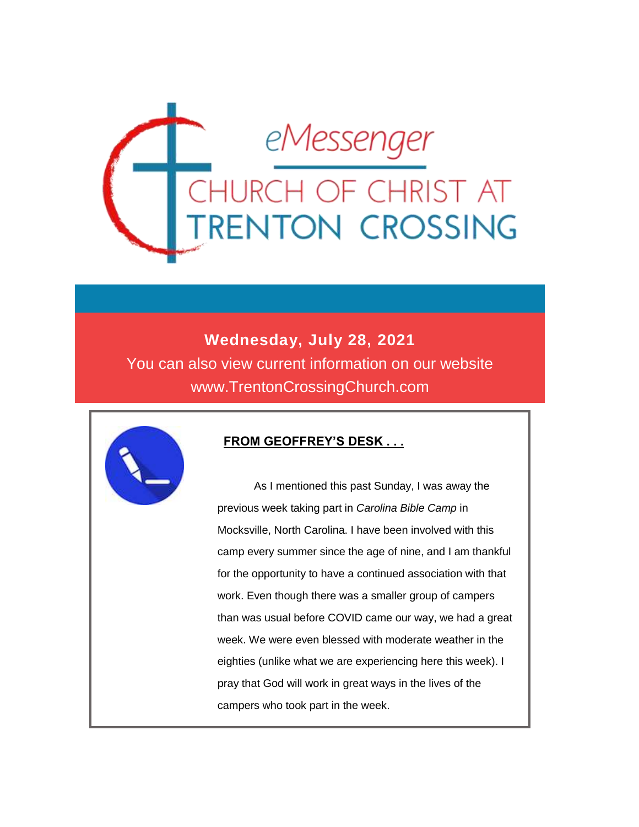

# **Wednesday, July 28, 2021**

You can also view current information on our website www.TrentonCrossingChurch.com



## **FROM GEOFFREY'S DESK . . .**

 As I mentioned this past Sunday, I was away the previous week taking part in *Carolina Bible Camp* in Mocksville, North Carolina. I have been involved with this camp every summer since the age of nine, and I am thankful for the opportunity to have a continued association with that work. Even though there was a smaller group of campers than was usual before COVID came our way, we had a great week. We were even blessed with moderate weather in the eighties (unlike what we are experiencing here this week). I pray that God will work in great ways in the lives of the campers who took part in the week.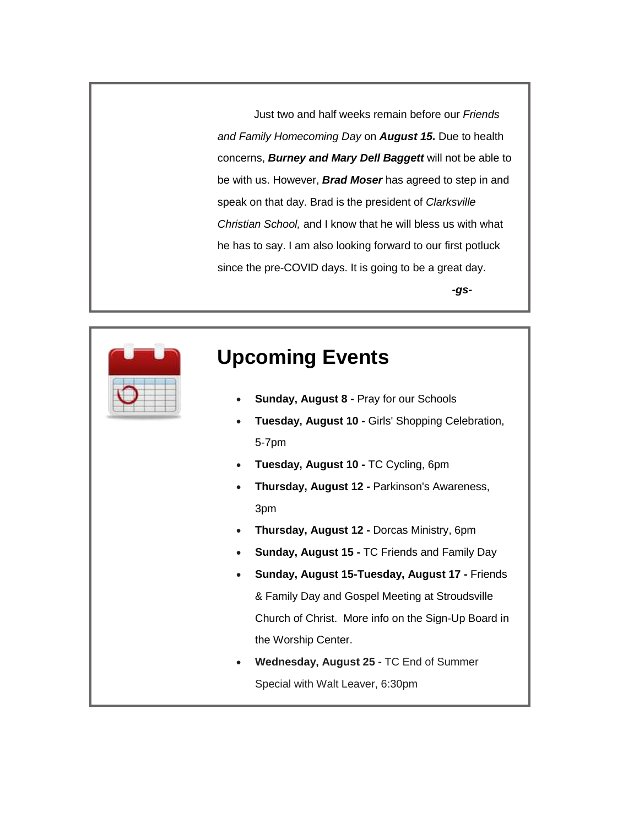Just two and half weeks remain before our *Friends and Family Homecoming Day* on *August 15.* Due to health concerns, *Burney and Mary Dell Baggett* will not be able to be with us. However, *Brad Moser* has agreed to step in and speak on that day. Brad is the president of *Clarksville Christian School,* and I know that he will bless us with what he has to say. I am also looking forward to our first potluck since the pre-COVID days. It is going to be a great day.

*-gs-*



# **Upcoming Events**

- **Sunday, August 8 -** Pray for our Schools
- **Tuesday, August 10 -** Girls' Shopping Celebration, 5-7pm
- **Tuesday, August 10 -** TC Cycling, 6pm
- **Thursday, August 12 -** Parkinson's Awareness, 3pm
- **Thursday, August 12 -** Dorcas Ministry, 6pm
- **Sunday, August 15 -** TC Friends and Family Day
- **Sunday, August 15-Tuesday, August 17 -** Friends & Family Day and Gospel Meeting at Stroudsville Church of Christ. More info on the Sign-Up Board in the Worship Center.
- **Wednesday, August 25 -** TC End of Summer Special with Walt Leaver, 6:30pm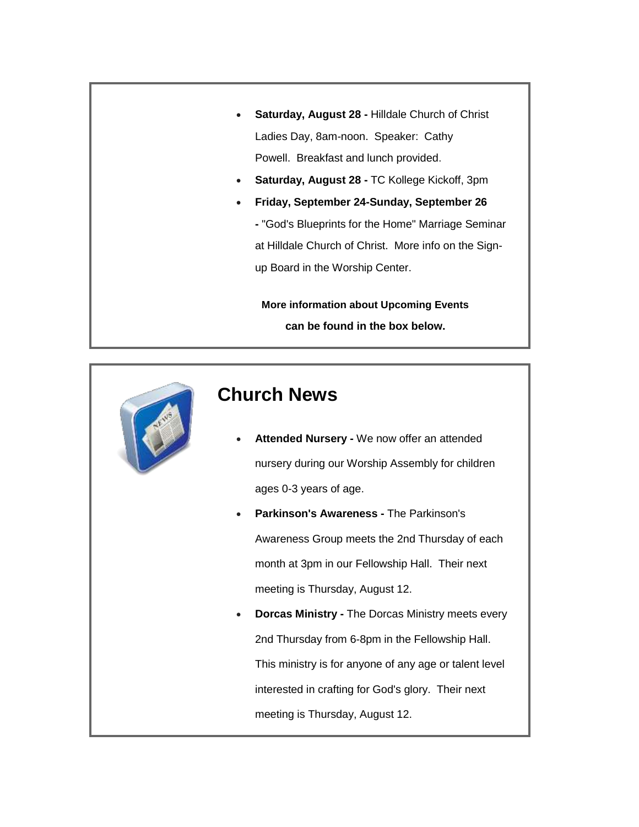- **Saturday, August 28 -** Hilldale Church of Christ Ladies Day, 8am-noon. Speaker: Cathy Powell. Breakfast and lunch provided.
- **Saturday, August 28 -** TC Kollege Kickoff, 3pm
- **Friday, September 24-Sunday, September 26**

**-** "God's Blueprints for the Home" Marriage Seminar at Hilldale Church of Christ. More info on the Signup Board in the Worship Center.

**More information about Upcoming Events can be found in the box below.**



# **Church News**

- **Attended Nursery -** We now offer an attended nursery during our Worship Assembly for children ages 0-3 years of age.
- **Parkinson's Awareness -** The Parkinson's Awareness Group meets the 2nd Thursday of each month at 3pm in our Fellowship Hall. Their next meeting is Thursday, August 12.
- **Dorcas Ministry -** The Dorcas Ministry meets every 2nd Thursday from 6-8pm in the Fellowship Hall. This ministry is for anyone of any age or talent level interested in crafting for God's glory. Their next meeting is Thursday, August 12.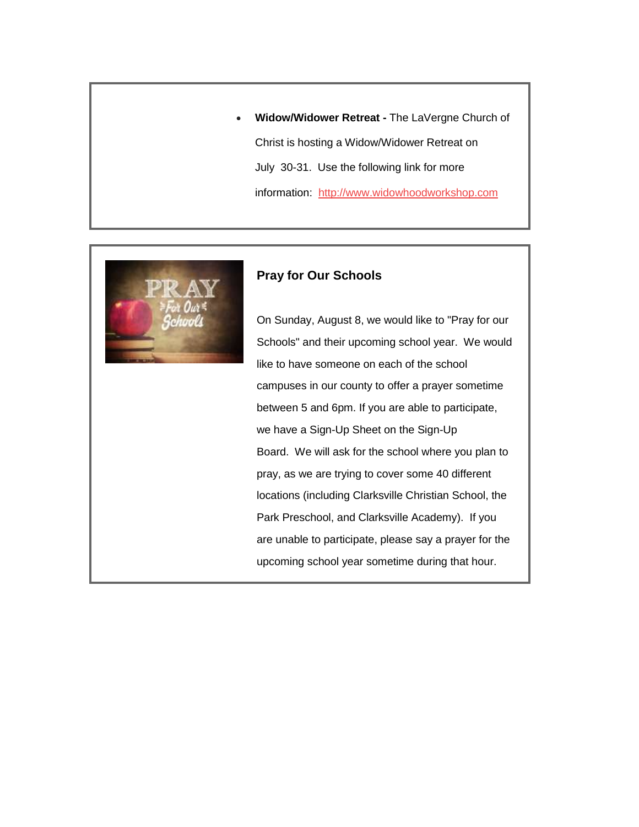**Widow/Widower Retreat -** The LaVergne Church of Christ is hosting a Widow/Widower Retreat on July 30-31. Use the following link for more information: [http://www.widowhoodworkshop.com](http://www.widowhoodworkshop.com/)



#### **Pray for Our Schools**

On Sunday, August 8, we would like to "Pray for our Schools" and their upcoming school year. We would like to have someone on each of the school campuses in our county to offer a prayer sometime between 5 and 6pm. If you are able to participate, we have a Sign-Up Sheet on the Sign-Up Board. We will ask for the school where you plan to pray, as we are trying to cover some 40 different locations (including Clarksville Christian School, the Park Preschool, and Clarksville Academy). If you are unable to participate, please say a prayer for the upcoming school year sometime during that hour.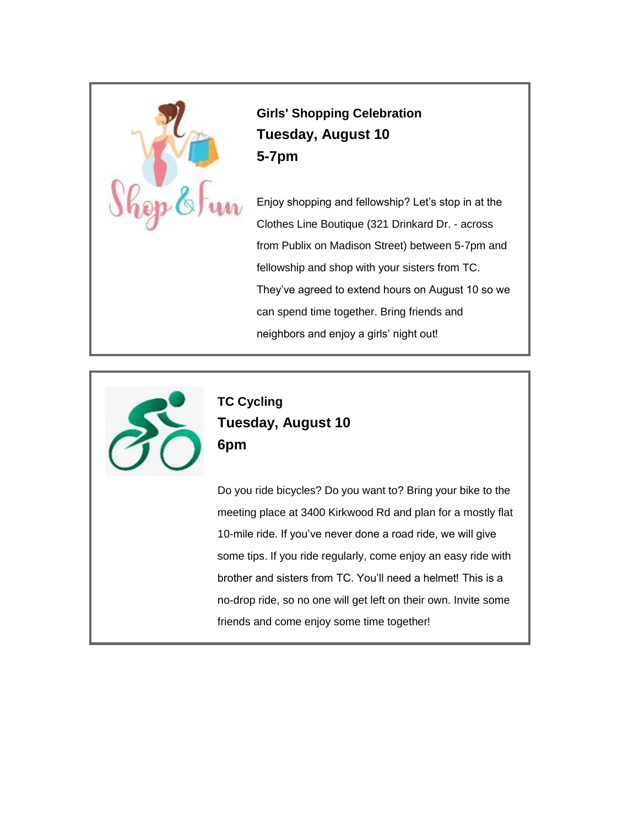

**Girls' Shopping Celebration Tuesday, August 10 5-7pm**

Enjoy shopping and fellowship? Let's stop in at the Clothes Line Boutique (321 Drinkard Dr. - across from Publix on Madison Street) between 5-7pm and fellowship and shop with your sisters from TC. They've agreed to extend hours on August 10 so we can spend time together. Bring friends and neighbors and enjoy a girls' night out!



**TC Cycling Tuesday, August 10 6pm**

Do you ride bicycles? Do you want to? Bring your bike to the meeting place at 3400 Kirkwood Rd and plan for a mostly flat 10-mile ride. If you've never done a road ride, we will give some tips. If you ride regularly, come enjoy an easy ride with brother and sisters from TC. You'll need a helmet! This is a no-drop ride, so no one will get left on their own. Invite some friends and come enjoy some time together!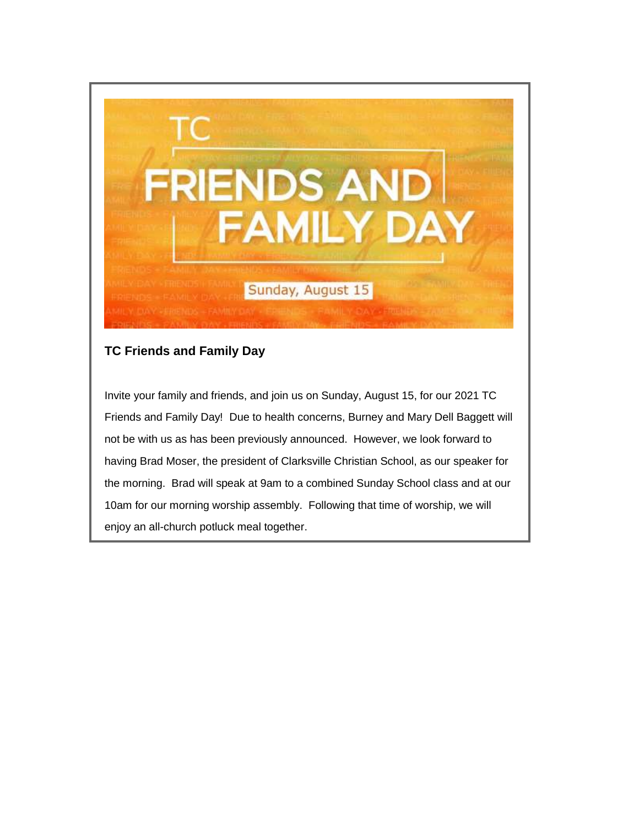

## **TC Friends and Family Day**

Invite your family and friends, and join us on Sunday, August 15, for our 2021 TC Friends and Family Day! Due to health concerns, Burney and Mary Dell Baggett will not be with us as has been previously announced. However, we look forward to having Brad Moser, the president of Clarksville Christian School, as our speaker for the morning. Brad will speak at 9am to a combined Sunday School class and at our 10am for our morning worship assembly. Following that time of worship, we will enjoy an all-church potluck meal together.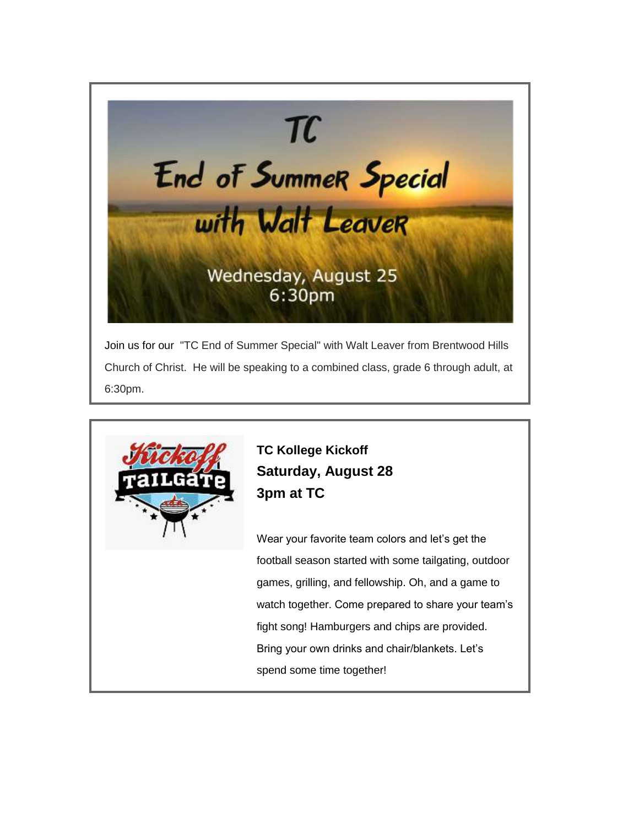

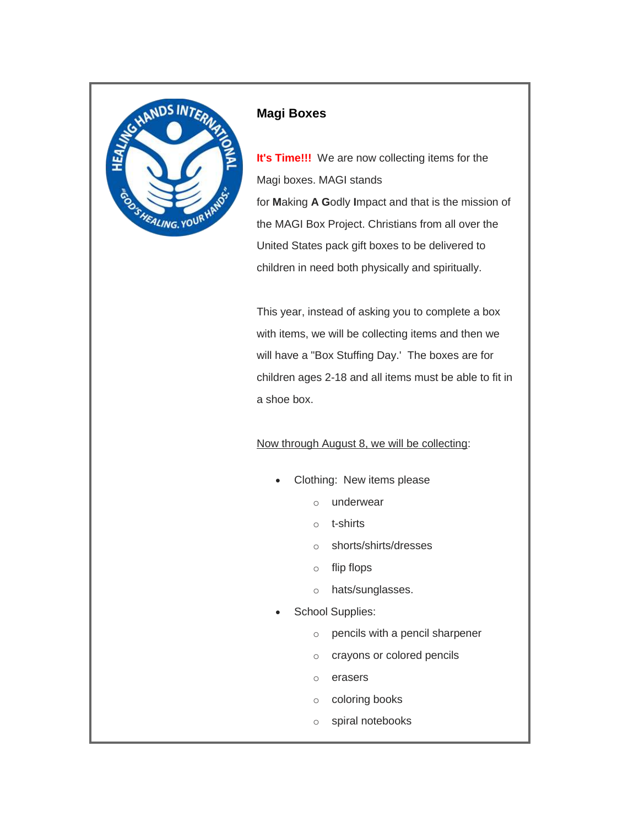

#### **Magi Boxes**

**It's Time!!!** We are now collecting items for the Magi boxes. MAGI stands for **M**aking **A G**odly **I**mpact and that is the mission of the MAGI Box Project. Christians from all over the United States pack gift boxes to be delivered to children in need both physically and spiritually.

This year, instead of asking you to complete a box with items, we will be collecting items and then we will have a "Box Stuffing Day.' The boxes are for children ages 2-18 and all items must be able to fit in a shoe box.

#### Now through August 8, we will be collecting:

- Clothing: New items please
	- o underwear
	- o t-shirts
	- o shorts/shirts/dresses
	- o flip flops
	- o hats/sunglasses.
- School Supplies:
	- o pencils with a pencil sharpener
	- o crayons or colored pencils
	- o erasers
	- o coloring books
	- o spiral notebooks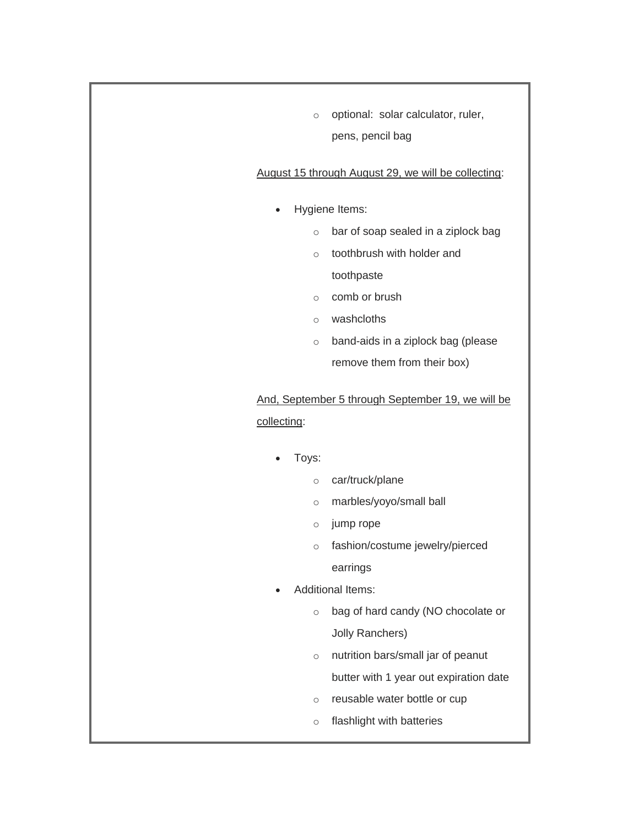o optional: solar calculator, ruler, pens, pencil bag

#### August 15 through August 29, we will be collecting:

- Hygiene Items:
	- o bar of soap sealed in a ziplock bag
	- o toothbrush with holder and

toothpaste

- o comb or brush
- o washcloths
- o band-aids in a ziplock bag (please remove them from their box)

## And, September 5 through September 19, we will be collecting:

- Toys:
	- o car/truck/plane
	- o marbles/yoyo/small ball
	- o jump rope
	- o fashion/costume jewelry/pierced earrings
- Additional Items:
	- o bag of hard candy (NO chocolate or Jolly Ranchers)
	- o nutrition bars/small jar of peanut butter with 1 year out expiration date
	- o reusable water bottle or cup
	- o flashlight with batteries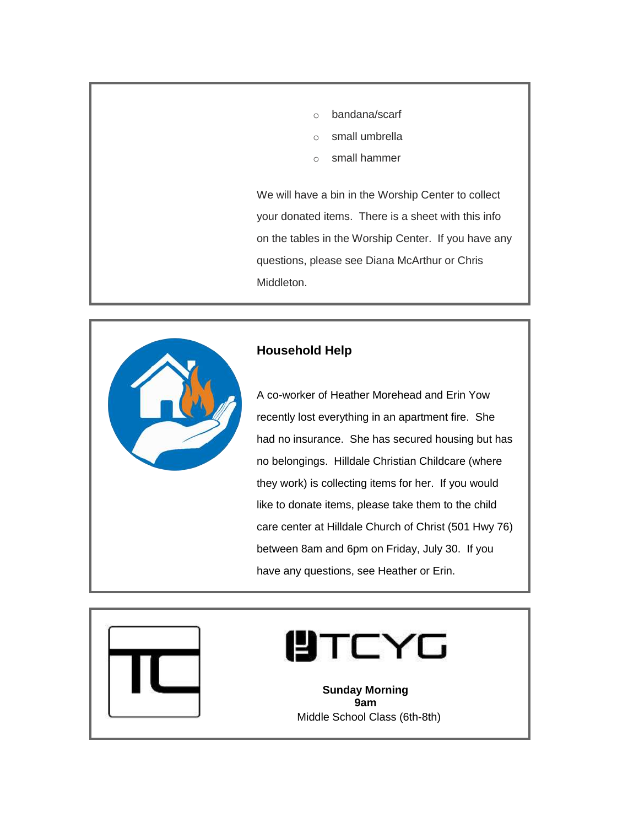- o bandana/scarf
- o small umbrella
- o small hammer

We will have a bin in the Worship Center to collect your donated items. There is a sheet with this info on the tables in the Worship Center. If you have any questions, please see Diana McArthur or Chris Middleton.



### **Household Help**

A co-worker of Heather Morehead and Erin Yow recently lost everything in an apartment fire. She had no insurance. She has secured housing but has no belongings. Hilldale Christian Childcare (where they work) is collecting items for her. If you would like to donate items, please take them to the child care center at Hilldale Church of Christ (501 Hwy 76) between 8am and 6pm on Friday, July 30. If you have any questions, see Heather or Erin.



# **UTCYG**

**Sunday Morning 9am** Middle School Class (6th-8th)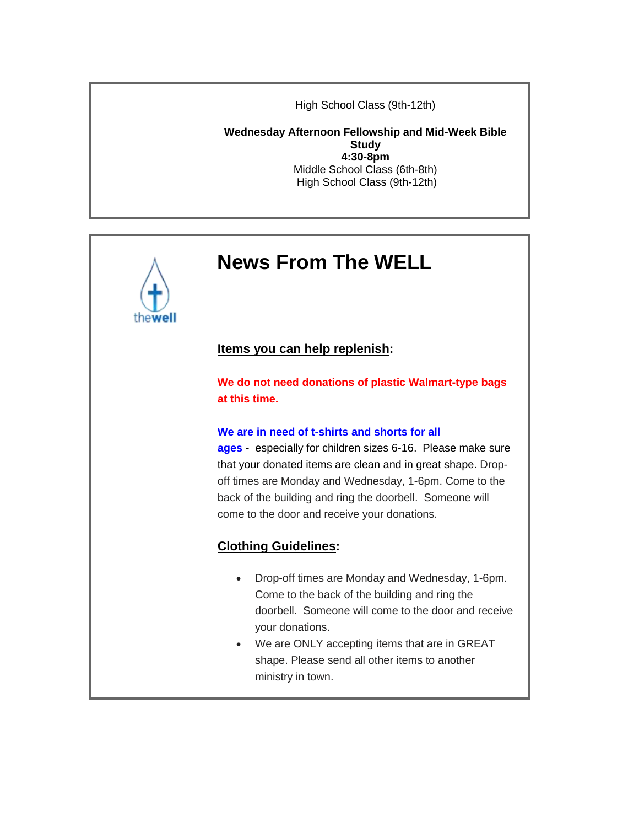High School Class (9th-12th)

**Wednesday Afternoon Fellowship and Mid-Week Bible Study 4:30-8pm** Middle School Class (6th-8th) High School Class (9th-12th)

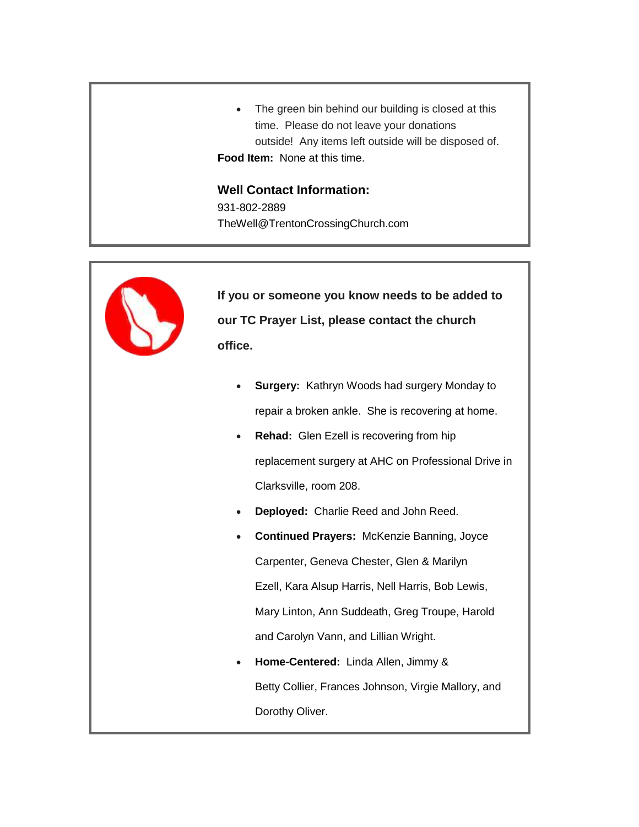• The green bin behind our building is closed at this time. Please do not leave your donations outside! Any items left outside will be disposed of. **Food Item:** None at this time.

# **Well Contact Information:**

931-802-2889 TheWell@TrentonCrossingChurch.com



**If you or someone you know needs to be added to our TC Prayer List, please contact the church office.**

- **Surgery:** Kathryn Woods had surgery Monday to repair a broken ankle. She is recovering at home.
- **Rehad:** Glen Ezell is recovering from hip replacement surgery at AHC on Professional Drive in Clarksville, room 208.
- **Deployed:** Charlie Reed and John Reed.
- **Continued Prayers:** McKenzie Banning, Joyce Carpenter, Geneva Chester, Glen & Marilyn Ezell, Kara Alsup Harris, Nell Harris, Bob Lewis, Mary Linton, Ann Suddeath, Greg Troupe, Harold and Carolyn Vann, and Lillian Wright.
- **Home-Centered:** Linda Allen, Jimmy & Betty Collier, Frances Johnson, Virgie Mallory, and Dorothy Oliver.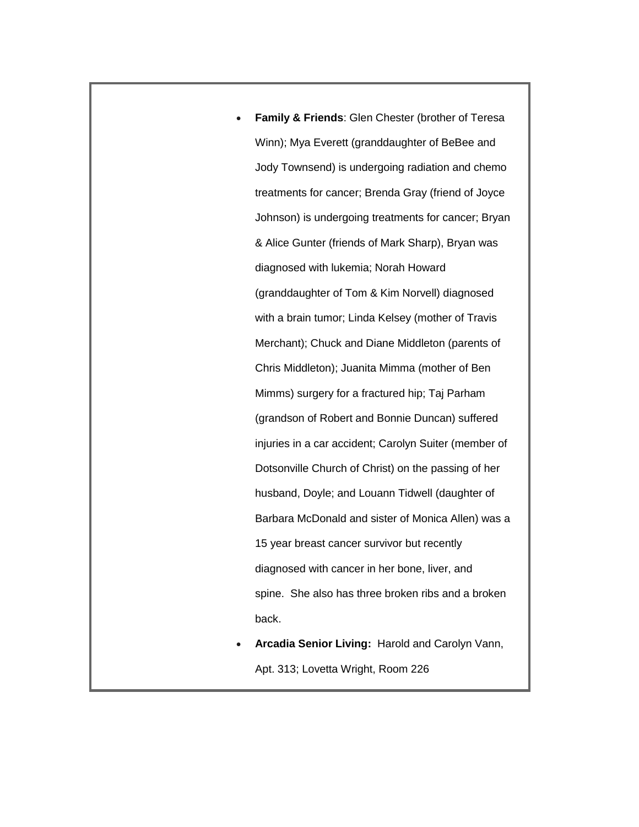- **Family & Friends**: Glen Chester (brother of Teresa Winn); Mya Everett (granddaughter of BeBee and Jody Townsend) is undergoing radiation and chemo treatments for cancer; Brenda Gray (friend of Joyce Johnson) is undergoing treatments for cancer; Bryan & Alice Gunter (friends of Mark Sharp), Bryan was diagnosed with lukemia; Norah Howard (granddaughter of Tom & Kim Norvell) diagnosed with a brain tumor; Linda Kelsey (mother of Travis Merchant); Chuck and Diane Middleton (parents of Chris Middleton); Juanita Mimma (mother of Ben Mimms) surgery for a fractured hip; Taj Parham (grandson of Robert and Bonnie Duncan) suffered injuries in a car accident; Carolyn Suiter (member of Dotsonville Church of Christ) on the passing of her husband, Doyle; and Louann Tidwell (daughter of Barbara McDonald and sister of Monica Allen) was a 15 year breast cancer survivor but recently diagnosed with cancer in her bone, liver, and spine. She also has three broken ribs and a broken back.
- **Arcadia Senior Living:** Harold and Carolyn Vann, Apt. 313; Lovetta Wright, Room 226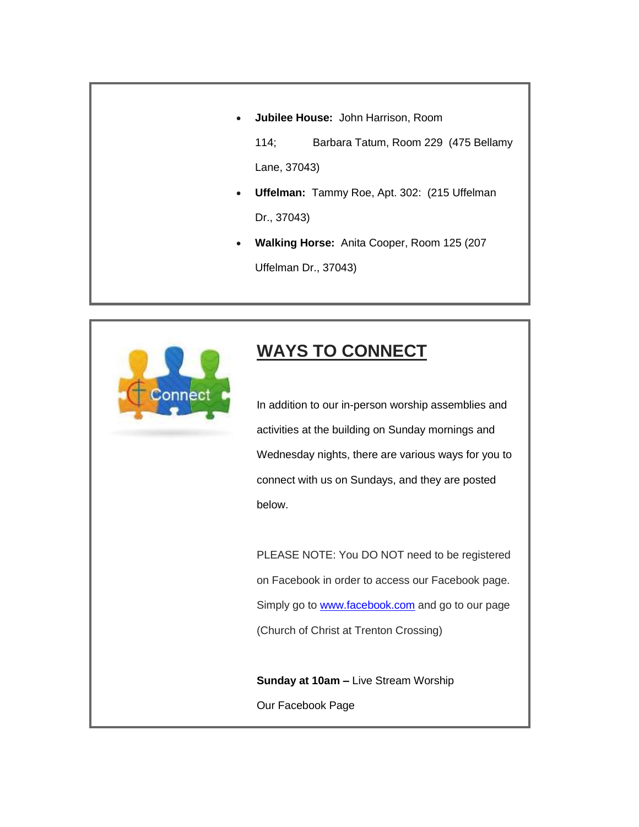**Jubilee House:** John Harrison, Room

114; Barbara Tatum, Room 229 (475 Bellamy Lane, 37043)

- **Uffelman:** Tammy Roe, Apt. 302: (215 Uffelman Dr., 37043)
- **Walking Horse:** Anita Cooper, Room 125 (207 Uffelman Dr., 37043)



# **WAYS TO CONNECT**

In addition to our in-person worship assemblies and activities at the building on Sunday mornings and Wednesday nights, there are various ways for you to connect with us on Sundays, and they are posted below.

PLEASE NOTE: You DO NOT need to be registered on Facebook in order to access our Facebook page. Simply go to **[www.facebook.com](http://www.facebook.com/)** and go to our page (Church of Christ at Trenton Crossing)

**Sunday at 10am –** Live Stream Worship Our Facebook Page